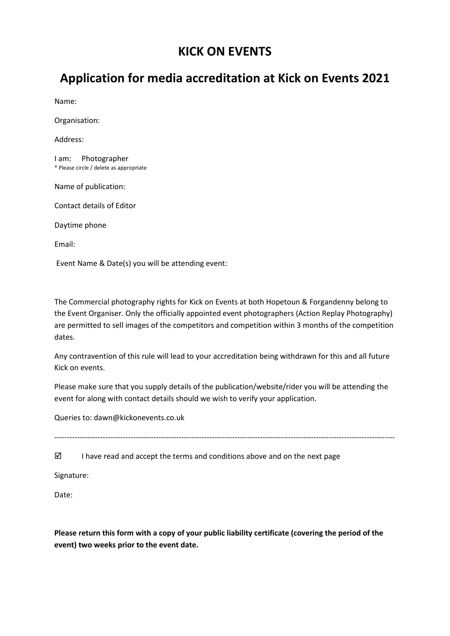## **KICK ON EVENTS**

# **Application for media accreditation at Kick on Events 2021**

Name:

Organisation:

Address:

I am: Photographer \* Please circle / delete as appropriate

Name of publication:

Contact details of Editor

Daytime phone

Email:

Event Name & Date(s) you will be attending event:

The Commercial photography rights for Kick on Events at both Hopetoun & Forgandenny belong to the Event Organiser. Only the officially appointed event photographers (Action Replay Photography) are permitted to sell images of the competitors and competition within 3 months of the competition dates.

Any contravention of this rule will lead to your accreditation being withdrawn for this and all future Kick on events.

Please make sure that you supply details of the publication/website/rider you will be attending the event for along with contact details should we wish to verify your application.

Queries to: dawn@kickonevents.co.uk

--------------------------------------------------------------------------------------------------------------------------------------

 $\boxtimes$  I have read and accept the terms and conditions above and on the next page

Signature:

Date:

**Please return this form with a copy of your public liability certificate (covering the period of the event) two weeks prior to the event date.**